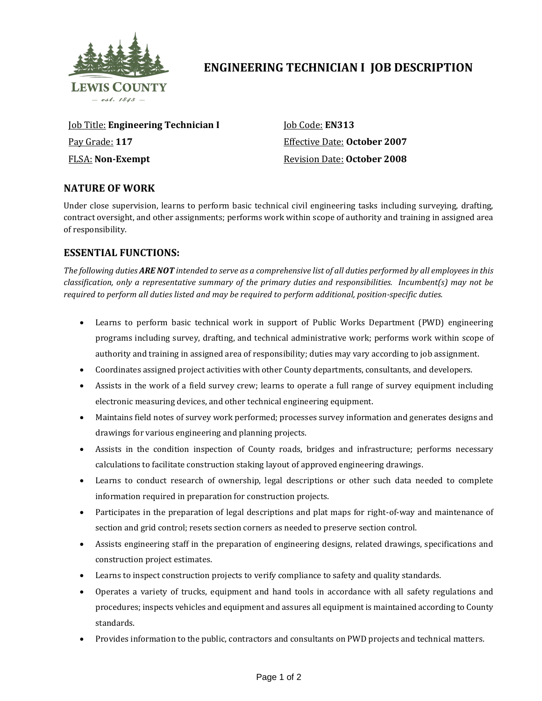

# **ENGINEERING TECHNICIAN I JOB DESCRIPTION**

Job Title: **Engineering Technician I** Pay Grade: **117** FLSA: **Non-Exempt**

Job Code: **EN313** Effective Date: **October 2007** Revision Date: **October 2008**

## **NATURE OF WORK**

Under close supervision, learns to perform basic technical civil engineering tasks including surveying, drafting, contract oversight, and other assignments; performs work within scope of authority and training in assigned area of responsibility.

## **ESSENTIAL FUNCTIONS:**

*The following duties ARE NOT intended to serve as a comprehensive list of all duties performed by all employees in this classification, only a representative summary of the primary duties and responsibilities. Incumbent(s) may not be required to perform all duties listed and may be required to perform additional, position-specific duties.*

- Learns to perform basic technical work in support of Public Works Department (PWD) engineering programs including survey, drafting, and technical administrative work; performs work within scope of authority and training in assigned area of responsibility; duties may vary according to job assignment.
- Coordinates assigned project activities with other County departments, consultants, and developers.
- Assists in the work of a field survey crew; learns to operate a full range of survey equipment including electronic measuring devices, and other technical engineering equipment.
- Maintains field notes of survey work performed; processes survey information and generates designs and drawings for various engineering and planning projects.
- Assists in the condition inspection of County roads, bridges and infrastructure; performs necessary calculations to facilitate construction staking layout of approved engineering drawings.
- Learns to conduct research of ownership, legal descriptions or other such data needed to complete information required in preparation for construction projects.
- Participates in the preparation of legal descriptions and plat maps for right-of-way and maintenance of section and grid control; resets section corners as needed to preserve section control.
- Assists engineering staff in the preparation of engineering designs, related drawings, specifications and construction project estimates.
- Learns to inspect construction projects to verify compliance to safety and quality standards.
- Operates a variety of trucks, equipment and hand tools in accordance with all safety regulations and procedures; inspects vehicles and equipment and assures all equipment is maintained according to County standards.
- Provides information to the public, contractors and consultants on PWD projects and technical matters.